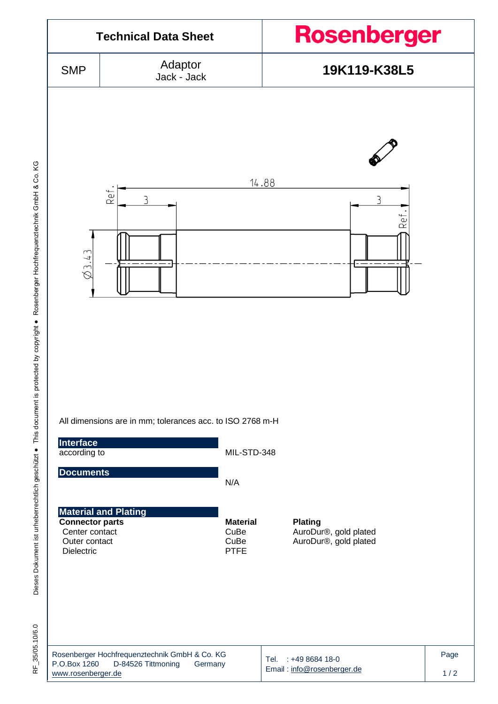

RF 35/05.10/6.0 RF\_35/05.10/6.0